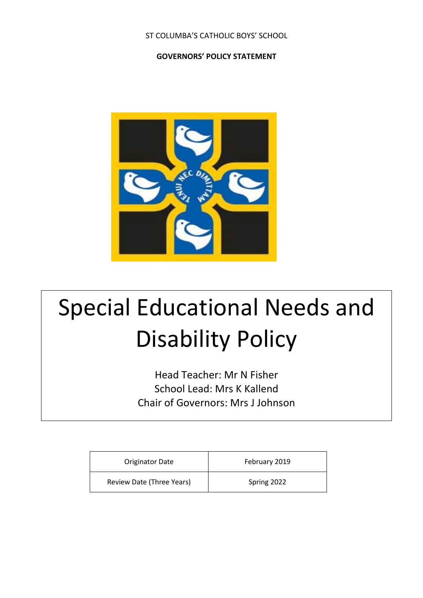## ST COLUMBA'S CATHOLIC BOYS' SCHOOL

## **GOVERNORS' POLICY STATEMENT**



# Special Educational Needs and Disability Policy

Head Teacher: Mr N Fisher School Lead: Mrs K Kallend Chair of Governors: Mrs J Johnson

| <b>Originator Date</b>    | February 2019 |
|---------------------------|---------------|
| Review Date (Three Years) | Spring 2022   |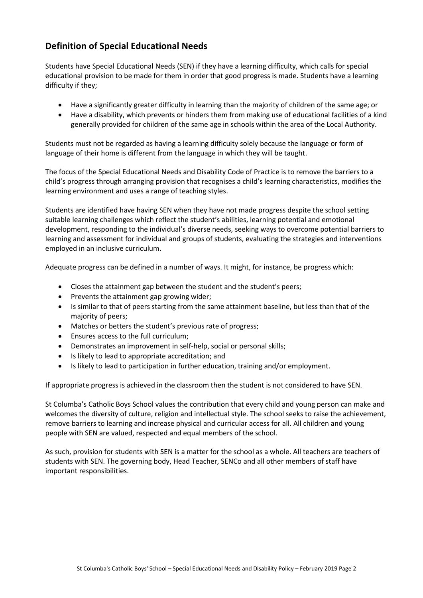# **Definition of Special Educational Needs**

Students have Special Educational Needs (SEN) if they have a learning difficulty, which calls for special educational provision to be made for them in order that good progress is made. Students have a learning difficulty if they;

- Have a significantly greater difficulty in learning than the majority of children of the same age; or
- Have a disability, which prevents or hinders them from making use of educational facilities of a kind generally provided for children of the same age in schools within the area of the Local Authority.

Students must not be regarded as having a learning difficulty solely because the language or form of language of their home is different from the language in which they will be taught.

The focus of the Special Educational Needs and Disability Code of Practice is to remove the barriers to a child's progress through arranging provision that recognises a child's learning characteristics, modifies the learning environment and uses a range of teaching styles.

Students are identified have having SEN when they have not made progress despite the school setting suitable learning challenges which reflect the student's abilities, learning potential and emotional development, responding to the individual's diverse needs, seeking ways to overcome potential barriers to learning and assessment for individual and groups of students, evaluating the strategies and interventions employed in an inclusive curriculum.

Adequate progress can be defined in a number of ways. It might, for instance, be progress which:

- Closes the attainment gap between the student and the student's peers;
- Prevents the attainment gap growing wider;
- Is similar to that of peers starting from the same attainment baseline, but less than that of the majority of peers;
- Matches or betters the student's previous rate of progress;
- Ensures access to the full curriculum;
- Demonstrates an improvement in self-help, social or personal skills;
- Is likely to lead to appropriate accreditation; and
- Is likely to lead to participation in further education, training and/or employment.

If appropriate progress is achieved in the classroom then the student is not considered to have SEN.

St Columba's Catholic Boys School values the contribution that every child and young person can make and welcomes the diversity of culture, religion and intellectual style. The school seeks to raise the achievement, remove barriers to learning and increase physical and curricular access for all. All children and young people with SEN are valued, respected and equal members of the school.

As such, provision for students with SEN is a matter for the school as a whole. All teachers are teachers of students with SEN. The governing body, Head Teacher, SENCo and all other members of staff have important responsibilities.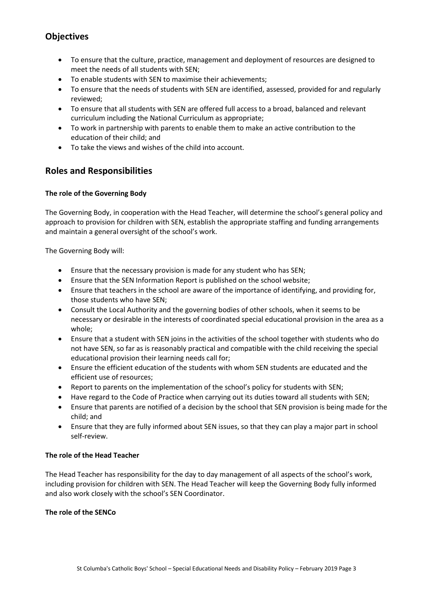# **Objectives**

- To ensure that the culture, practice, management and deployment of resources are designed to meet the needs of all students with SEN;
- To enable students with SEN to maximise their achievements;
- To ensure that the needs of students with SEN are identified, assessed, provided for and regularly reviewed;
- To ensure that all students with SEN are offered full access to a broad, balanced and relevant curriculum including the National Curriculum as appropriate;
- To work in partnership with parents to enable them to make an active contribution to the education of their child; and
- To take the views and wishes of the child into account.

# **Roles and Responsibilities**

### **The role of the Governing Body**

The Governing Body, in cooperation with the Head Teacher, will determine the school's general policy and approach to provision for children with SEN, establish the appropriate staffing and funding arrangements and maintain a general oversight of the school's work.

The Governing Body will:

- Ensure that the necessary provision is made for any student who has SEN;
- Ensure that the SEN Information Report is published on the school website;
- Ensure that teachers in the school are aware of the importance of identifying, and providing for, those students who have SEN;
- Consult the Local Authority and the governing bodies of other schools, when it seems to be necessary or desirable in the interests of coordinated special educational provision in the area as a whole;
- Ensure that a student with SEN joins in the activities of the school together with students who do not have SEN, so far as is reasonably practical and compatible with the child receiving the special educational provision their learning needs call for;
- Ensure the efficient education of the students with whom SEN students are educated and the efficient use of resources;
- Report to parents on the implementation of the school's policy for students with SEN;
- Have regard to the Code of Practice when carrying out its duties toward all students with SEN;
- Ensure that parents are notified of a decision by the school that SEN provision is being made for the child; and
- Ensure that they are fully informed about SEN issues, so that they can play a major part in school self-review.

#### **The role of the Head Teacher**

The Head Teacher has responsibility for the day to day management of all aspects of the school's work, including provision for children with SEN. The Head Teacher will keep the Governing Body fully informed and also work closely with the school's SEN Coordinator.

#### **The role of the SENCo**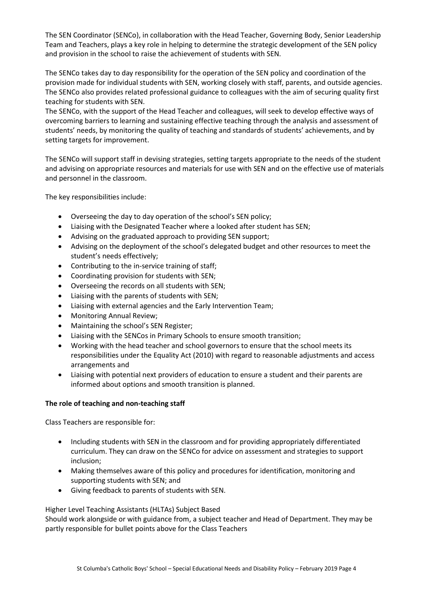The SEN Coordinator (SENCo), in collaboration with the Head Teacher, Governing Body, Senior Leadership Team and Teachers, plays a key role in helping to determine the strategic development of the SEN policy and provision in the school to raise the achievement of students with SEN.

The SENCo takes day to day responsibility for the operation of the SEN policy and coordination of the provision made for individual students with SEN, working closely with staff, parents, and outside agencies. The SENCo also provides related professional guidance to colleagues with the aim of securing quality first teaching for students with SEN.

The SENCo, with the support of the Head Teacher and colleagues, will seek to develop effective ways of overcoming barriers to learning and sustaining effective teaching through the analysis and assessment of students' needs, by monitoring the quality of teaching and standards of students' achievements, and by setting targets for improvement.

The SENCo will support staff in devising strategies, setting targets appropriate to the needs of the student and advising on appropriate resources and materials for use with SEN and on the effective use of materials and personnel in the classroom.

The key responsibilities include:

- Overseeing the day to day operation of the school's SEN policy;
- Liaising with the Designated Teacher where a looked after student has SEN;
- Advising on the graduated approach to providing SEN support;
- Advising on the deployment of the school's delegated budget and other resources to meet the student's needs effectively;
- Contributing to the in-service training of staff;
- Coordinating provision for students with SEN;
- Overseeing the records on all students with SEN;
- Liaising with the parents of students with SEN;
- Liaising with external agencies and the Early Intervention Team;
- Monitoring Annual Review;
- Maintaining the school's SEN Register;
- Liaising with the SENCos in Primary Schools to ensure smooth transition;
- Working with the head teacher and school governors to ensure that the school meets its responsibilities under the Equality Act (2010) with regard to reasonable adjustments and access arrangements and
- Liaising with potential next providers of education to ensure a student and their parents are informed about options and smooth transition is planned.

#### **The role of teaching and non-teaching staff**

Class Teachers are responsible for:

- Including students with SEN in the classroom and for providing appropriately differentiated curriculum. They can draw on the SENCo for advice on assessment and strategies to support inclusion;
- Making themselves aware of this policy and procedures for identification, monitoring and supporting students with SEN; and
- Giving feedback to parents of students with SEN.

#### Higher Level Teaching Assistants (HLTAs) Subject Based

Should work alongside or with guidance from, a subject teacher and Head of Department. They may be partly responsible for bullet points above for the Class Teachers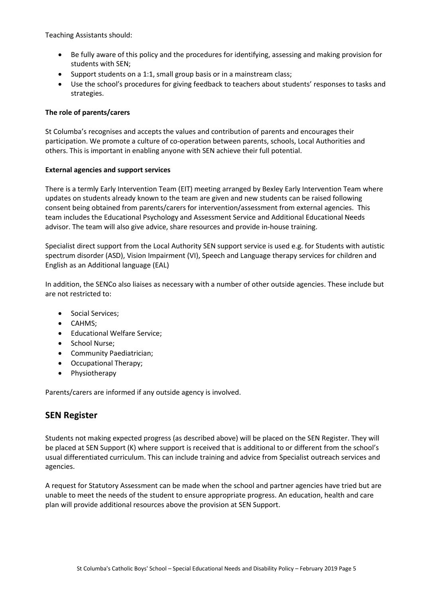Teaching Assistants should:

- Be fully aware of this policy and the procedures for identifying, assessing and making provision for students with SEN;
- Support students on a 1:1, small group basis or in a mainstream class;
- Use the school's procedures for giving feedback to teachers about students' responses to tasks and strategies.

#### **The role of parents/carers**

St Columba's recognises and accepts the values and contribution of parents and encourages their participation. We promote a culture of co-operation between parents, schools, Local Authorities and others. This is important in enabling anyone with SEN achieve their full potential.

#### **External agencies and support services**

There is a termly Early Intervention Team (EIT) meeting arranged by Bexley Early Intervention Team where updates on students already known to the team are given and new students can be raised following consent being obtained from parents/carers for intervention/assessment from external agencies. This team includes the Educational Psychology and Assessment Service and Additional Educational Needs advisor. The team will also give advice, share resources and provide in-house training.

Specialist direct support from the Local Authority SEN support service is used e.g. for Students with autistic spectrum disorder (ASD), Vision Impairment (VI), Speech and Language therapy services for children and English as an Additional language (EAL)

In addition, the SENCo also liaises as necessary with a number of other outside agencies. These include but are not restricted to:

- Social Services;
- CAHMS;
- Educational Welfare Service;
- School Nurse:
- Community Paediatrician;
- Occupational Therapy;
- Physiotherapy

Parents/carers are informed if any outside agency is involved.

## **SEN Register**

Students not making expected progress (as described above) will be placed on the SEN Register. They will be placed at SEN Support (K) where support is received that is additional to or different from the school's usual differentiated curriculum. This can include training and advice from Specialist outreach services and agencies.

A request for Statutory Assessment can be made when the school and partner agencies have tried but are unable to meet the needs of the student to ensure appropriate progress. An education, health and care plan will provide additional resources above the provision at SEN Support.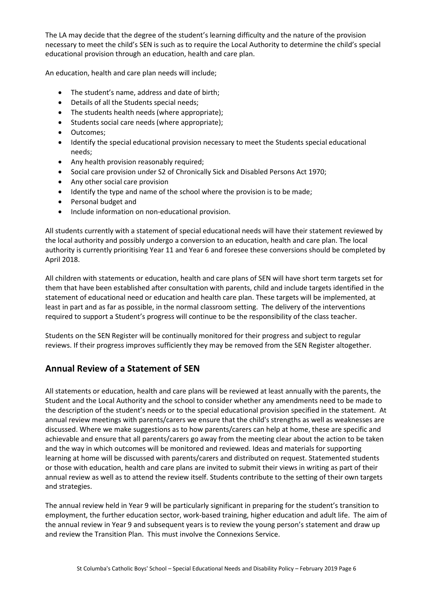The LA may decide that the degree of the student's learning difficulty and the nature of the provision necessary to meet the child's SEN is such as to require the Local Authority to determine the child's special educational provision through an education, health and care plan.

An education, health and care plan needs will include;

- The student's name, address and date of birth;
- Details of all the Students special needs;
- The students health needs (where appropriate);
- Students social care needs (where appropriate);
- Outcomes;
- Identify the special educational provision necessary to meet the Students special educational needs;
- Any health provision reasonably required;
- Social care provision under S2 of Chronically Sick and Disabled Persons Act 1970;
- Any other social care provision
- Identify the type and name of the school where the provision is to be made;
- Personal budget and
- Include information on non-educational provision.

All students currently with a statement of special educational needs will have their statement reviewed by the local authority and possibly undergo a conversion to an education, health and care plan. The local authority is currently prioritising Year 11 and Year 6 and foresee these conversions should be completed by April 2018.

All children with statements or education, health and care plans of SEN will have short term targets set for them that have been established after consultation with parents, child and include targets identified in the statement of educational need or education and health care plan. These targets will be implemented, at least in part and as far as possible, in the normal classroom setting. The delivery of the interventions required to support a Student's progress will continue to be the responsibility of the class teacher.

Students on the SEN Register will be continually monitored for their progress and subject to regular reviews. If their progress improves sufficiently they may be removed from the SEN Register altogether.

## **Annual Review of a Statement of SEN**

All statements or education, health and care plans will be reviewed at least annually with the parents, the Student and the Local Authority and the school to consider whether any amendments need to be made to the description of the student's needs or to the special educational provision specified in the statement. At annual review meetings with parents/carers we ensure that the child's strengths as well as weaknesses are discussed. Where we make suggestions as to how parents/carers can help at home, these are specific and achievable and ensure that all parents/carers go away from the meeting clear about the action to be taken and the way in which outcomes will be monitored and reviewed. Ideas and materials for supporting learning at home will be discussed with parents/carers and distributed on request. Statemented students or those with education, health and care plans are invited to submit their views in writing as part of their annual review as well as to attend the review itself. Students contribute to the setting of their own targets and strategies.

The annual review held in Year 9 will be particularly significant in preparing for the student's transition to employment, the further education sector, work-based training, higher education and adult life. The aim of the annual review in Year 9 and subsequent years is to review the young person's statement and draw up and review the Transition Plan. This must involve the Connexions Service.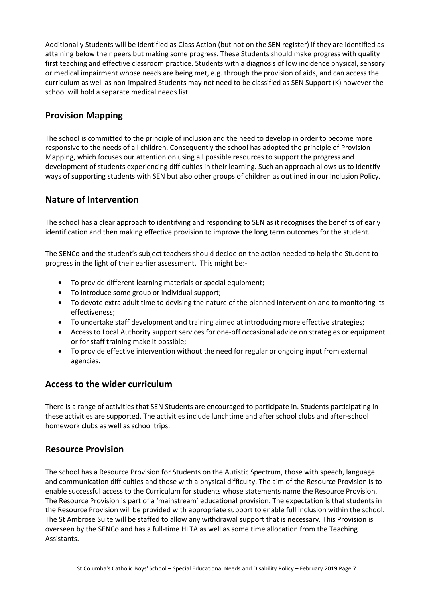Additionally Students will be identified as Class Action (but not on the SEN register) if they are identified as attaining below their peers but making some progress. These Students should make progress with quality first teaching and effective classroom practice. Students with a diagnosis of low incidence physical, sensory or medical impairment whose needs are being met, e.g. through the provision of aids, and can access the curriculum as well as non-impaired Students may not need to be classified as SEN Support (K) however the school will hold a separate medical needs list.

# **Provision Mapping**

The school is committed to the principle of inclusion and the need to develop in order to become more responsive to the needs of all children. Consequently the school has adopted the principle of Provision Mapping, which focuses our attention on using all possible resources to support the progress and development of students experiencing difficulties in their learning. Such an approach allows us to identify ways of supporting students with SEN but also other groups of children as outlined in our Inclusion Policy.

## **Nature of Intervention**

The school has a clear approach to identifying and responding to SEN as it recognises the benefits of early identification and then making effective provision to improve the long term outcomes for the student.

The SENCo and the student's subject teachers should decide on the action needed to help the Student to progress in the light of their earlier assessment. This might be:-

- To provide different learning materials or special equipment;
- To introduce some group or individual support;
- To devote extra adult time to devising the nature of the planned intervention and to monitoring its effectiveness;
- To undertake staff development and training aimed at introducing more effective strategies;
- Access to Local Authority support services for one-off occasional advice on strategies or equipment or for staff training make it possible;
- To provide effective intervention without the need for regular or ongoing input from external agencies.

## **Access to the wider curriculum**

There is a range of activities that SEN Students are encouraged to participate in. Students participating in these activities are supported. The activities include lunchtime and after school clubs and after-school homework clubs as well as school trips.

## **Resource Provision**

The school has a Resource Provision for Students on the Autistic Spectrum, those with speech, language and communication difficulties and those with a physical difficulty. The aim of the Resource Provision is to enable successful access to the Curriculum for students whose statements name the Resource Provision. The Resource Provision is part of a 'mainstream' educational provision. The expectation is that students in the Resource Provision will be provided with appropriate support to enable full inclusion within the school. The St Ambrose Suite will be staffed to allow any withdrawal support that is necessary. This Provision is overseen by the SENCo and has a full-time HLTA as well as some time allocation from the Teaching Assistants.